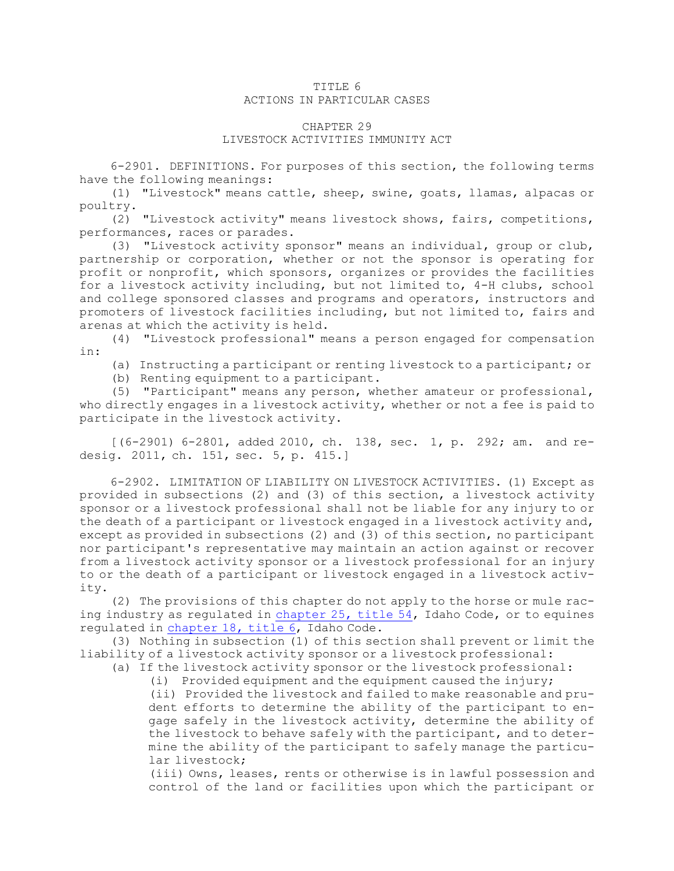## TITLE 6 ACTIONS IN PARTICULAR CASES

## CHAPTER 29

## LIVESTOCK ACTIVITIES IMMUNITY ACT

6-2901. DEFINITIONS. For purposes of this section, the following terms have the following meanings:

(1) "Livestock" means cattle, sheep, swine, goats, llamas, alpacas or poultry.

(2) "Livestock activity" means livestock shows, fairs, competitions, performances, races or parades.

(3) "Livestock activity sponsor" means an individual, group or club, partnership or corporation, whether or not the sponsor is operating for profit or nonprofit, which sponsors, organizes or provides the facilities for <sup>a</sup> livestock activity including, but not limited to, 4-H clubs, school and college sponsored classes and programs and operators, instructors and promoters of livestock facilities including, but not limited to, fairs and arenas at which the activity is held.

(4) "Livestock professional" means <sup>a</sup> person engaged for compensation in:

(a) Instructing <sup>a</sup> participant or renting livestock to <sup>a</sup> participant; or

(b) Renting equipment to <sup>a</sup> participant.

(5) "Participant" means any person, whether amateur or professional, who directly engages in <sup>a</sup> livestock activity, whether or not <sup>a</sup> fee is paid to participate in the livestock activity.

[(6-2901) 6-2801, added 2010, ch. 138, sec. 1, p. 292; am. and redesig. 2011, ch. 151, sec. 5, p. 415.]

6-2902. LIMITATION OF LIABILITY ON LIVESTOCK ACTIVITIES. (1) Except as provided in subsections (2) and (3) of this section, <sup>a</sup> livestock activity sponsor or <sup>a</sup> livestock professional shall not be liable for any injury to or the death of <sup>a</sup> participant or livestock engaged in <sup>a</sup> livestock activity and, except as provided in subsections (2) and (3) of this section, no participant nor participant's representative may maintain an action against or recover from <sup>a</sup> livestock activity sponsor or <sup>a</sup> livestock professional for an injury to or the death of <sup>a</sup> participant or livestock engaged in <sup>a</sup> livestock activity.

(2) The provisions of this chapter do not apply to the horse or mule racing industry as regulated in [chapter](https://legislature.idaho.gov/statutesrules/idstat/Title54/T54CH25) 25, title 54, Idaho Code, or to equines regulated in [chapter](https://legislature.idaho.gov/statutesrules/idstat/Title6/T6CH18) 18, title 6, Idaho Code.

(3) Nothing in subsection (1) of this section shall prevent or limit the liability of <sup>a</sup> livestock activity sponsor or <sup>a</sup> livestock professional:

(a) If the livestock activity sponsor or the livestock professional:

(i) Provided equipment and the equipment caused the injury;

(ii) Provided the livestock and failed to make reasonable and prudent efforts to determine the ability of the participant to engage safely in the livestock activity, determine the ability of the livestock to behave safely with the participant, and to determine the ability of the participant to safely manage the particular livestock;

(iii) Owns, leases, rents or otherwise is in lawful possession and control of the land or facilities upon which the participant or